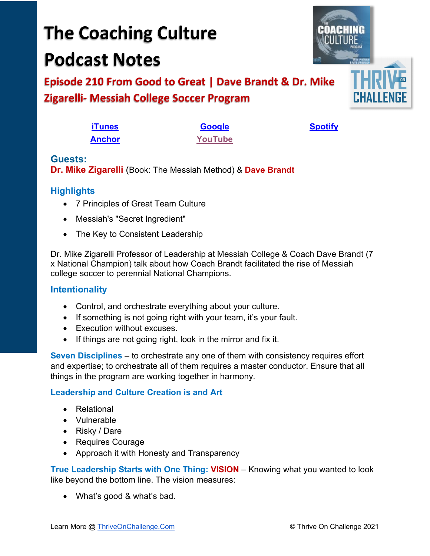# **The Coaching Culture Podcast Notes**

**Episode 210 From Good to Great | Dave Brandt & Dr. Mike Zigarelli- Messiah College Soccer Program**

| <b>iTunes</b> | <b>Google</b> |
|---------------|---------------|
| <b>Anchor</b> | YouTube       |

**<u>[Spotify](https://tinyurl.com/3sf9cp5h)</u>** 

## **Guests: Dr. Mike Zigarelli** (Book: The Messiah Method) & **Dave Brandt**

# **Highlights**

- 7 Principles of Great Team Culture
- Messiah's "Secret Ingredient"
- The Key to Consistent Leadership

Dr. Mike Zigarelli Professor of Leadership at Messiah College & Coach Dave Brandt (7 x National Champion) talk about how Coach Brandt facilitated the rise of Messiah college soccer to perennial National Champions.

## **Intentionality**

- Control, and orchestrate everything about your culture.
- If something is not going right with your team, it's your fault.
- Execution without excuses.
- If things are not going right, look in the mirror and fix it.

**Seven Disciplines** – to orchestrate any one of them with consistency requires effort and expertise; to orchestrate all of them requires a master conductor. Ensure that all things in the program are working together in harmony.

## **Leadership and Culture Creation is and Art**

- Relational
- Vulnerable
- Risky / Dare
- Requires Courage
- Approach it with Honesty and Transparency

**True Leadership Starts with One Thing: VISION** – Knowing what you wanted to look like beyond the bottom line. The vision measures:

• What's good & what's bad.